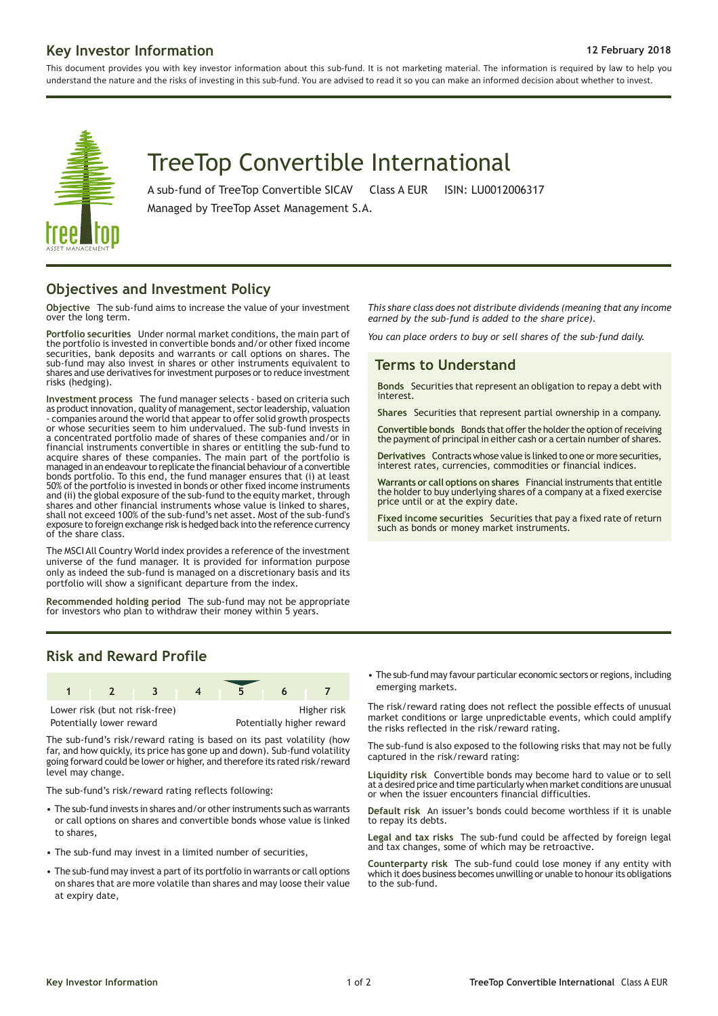# **Key Investor Information 12 February 2018**

This document provides you with key investor information about this sub-fund. It is not marketing material. The information is required by law to help you understand the nature and the risks of investing in this sub-fund. You are advised to read it so you can make an informed decision about whether to invest.



# TreeTop Convertible International

A sub-fund of TreeTop Convertible SICAV Class A EUR ISIN: LU0012006317

Managed by TreeTop Asset Management S.A.

#### **Objectives and Investment Policy**

**Objective** The sub-fund aims to increase the value of your investment over the long term.

**Portfolio securities** Under normal market conditions, the main part of the portfolio is invested in convertible bonds and/or other fixed income securities, bank deposits and warrants or call options on shares. The sub-fund may also invest in shares or other instruments equivalent to shares and use derivatives for investment purposes or to reduce investment risks (hedging).

**Investment process** The fund manager selects - based on criteria such as product innovation, quality of management, sector leadership, valuation - companies around the world that appear to offer solid growth prospects or whose securities seem to him undervalued. The sub-fund invests in a concentrated portfolio made of shares of these companies and/or in financial instruments convertible in shares or entitling the sub-fund to acquire shares of these companies. The main part of the portfolio is managedin an endeavour to replicate the financial behaviour of a convertible bonds portfolio. To this end, the fund manager ensures that (i) at least 50% of the portfolio is invested in bonds or other fixed income instruments and (ii) the global exposure of the sub-fund to the equity market, through shares and other financial instruments whose value is linked to shares, shall not exceed 100% of the sub-fund's net asset. Most of the sub-fund's exposure to foreign exchange risk is hedged back into the reference currency of the share class.

The MSCI All Country World index provides a reference of the investment universe of the fund manager. It is provided for information purpose only as indeed the sub-fund is managed on a discretionary basis and its portfolio will show a significant departure from the index.

**Recommended holding period** The sub-fund may not be appropriate for investors who plan to withdraw their money within 5 years.

*This share class does not distribute dividends (meaning that any income earned by the sub-fund is added to the share price).*

*You can place orders to buy or sell shares of the sub-fund daily.*

# **Terms to Understand**

**Bonds** Securities that represent an obligation to repay a debt with interest.

**Shares** Securities that represent partial ownership in a company.

**Convertible bonds** Bonds that offer the holder the option of receiving the payment of principal in either cash or a certain number of shares.

**Derivatives** Contracts whose value is linked to one or more securities, interest rates, currencies, commodities or financial indices.

**Warrants or call options on shares** Financial instruments that entitle the holder to buy underlying shares of a company at a fixed exercise price until or at the expiry date.

**Fixed income securities** Securities that pay a fixed rate of return such as bonds or money market instruments.

# **Risk and Reward Profile**



Potentially lower reward **Potentially higher reward** 

The sub-fund's risk/reward rating is based on its past volatility (how far, and how quickly, its price has gone up and down). Sub-fund volatility going forward could be lower or higher, and therefore its rated risk/reward level may change.

The sub-fund's risk/reward rating reflects following:

- The sub-fund invests in shares and/or other instruments such as warrants or call options on shares and convertible bonds whose value is linked to shares,
- The sub-fund may invest in a limited number of securities,
- The sub-fund may invest a part of its portfolio in warrants or call options on shares that are more volatile than shares and may loose their value at expiry date,

• The sub-fund may favour particular economic sectors or regions, including emerging markets.

The risk/reward rating does not reflect the possible effects of unusual market conditions or large unpredictable events, which could amplify the risks reflected in the risk/reward rating.

The sub-fund is also exposed to the following risks that may not be fully captured in the risk/reward rating:

**Liquidity risk** Convertible bonds may become hard to value or to sell at a desired price and time particularly when market conditions are unusual or when the issuer encounters financial difficulties.

**Default risk** An issuer's bonds could become worthless if it is unable to repay its debts.

**Legal and tax risks** The sub-fund could be affected by foreign legal and tax changes, some of which may be retroactive.

**Counterparty risk** The sub-fund could lose money if any entity with which it does business becomes unwilling or unable to honour its obligations to the sub-fund.